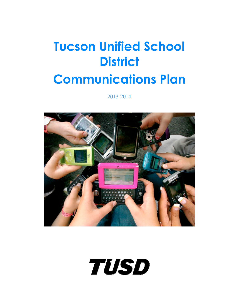# **Tucson Unified School District Communications Plan**

2013-2014



**TUSD**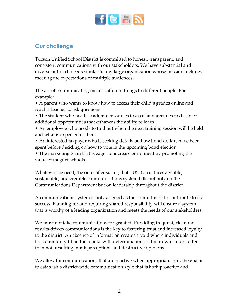

# **Our challenge**

Tucson Unified School District is committed to honest, transparent, and consistent communications with our stakeholders. We have substantial and diverse outreach needs similar to any large organization whose mission includes meeting the expectations of multiple audiences.

The act of communicating means different things to different people. For example:

• A parent who wants to know how to access their child's grades online and reach a teacher to ask questions.

- The student who needs academic resources to excel and avenues to discover additional opportunities that enhances the ability to learn.
- An employee who needs to find out when the next training session will be held and what is expected of them.

• An interested taxpayer who is seeking details on how bond dollars have been spent before deciding on how to vote in the upcoming bond election.

• The marketing team that is eager to increase enrollment by promoting the value of magnet schools.

Whatever the need, the onus of ensuring that TUSD structures a viable, sustainable, and credible communications system falls not only on the Communications Department but on leadership throughout the district.

A communications system is only as good as the commitment to contribute to its success. Planning for and requiring shared responsibility will ensure a system that is worthy of a leading organization and meets the needs of our stakeholders.

We must not take communications for granted. Providing frequent, clear and results-driven communications is the key to fostering trust and increased loyalty to the district. An absence of information creates a void where individuals and the community fill in the blanks with determinations of their own – more often than not, resulting in misperceptions and destructive opinions.

We allow for communications that are reactive when appropriate. But, the goal is to establish a district-wide communication style that is both proactive and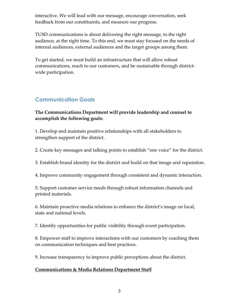interactive. We will lead with our message, encourage conversation, seek feedback from our constituents, and measure our progress.

TUSD communications is about delivering the right message, to the right audience, at the right time. To this end, we must stay focused on the needs of internal audiences, external audiences and the target groups among them.

To get started, we must build an infrastructure that will allow robust communications, reach to our customers, and be sustainable through districtwide participation.

# **Communication Goals**

## **The Communications Department will provide leadership and counsel to accomplish the following goals:**

1. Develop and maintain positive relationships with all stakeholders to strengthen support of the district.

2. Create key messages and talking points to establish "one voice" for the district.

- 3. Establish brand identity for the district and build on that image and reputation.
- 4. Improve community engagement through consistent and dynamic interaction.

5. Support customer service needs through robust information channels and printed materials.

6. Maintain proactive media relations to enhance the district's image on local, state and national levels.

7. Identify opportunities for public visibility through event participation.

8. Empower staff to improve interactions with our customers by coaching them on communication techniques and best practices.

9. Increase transparency to improve public perceptions about the district.

#### **Communications & Media Relations Department Staff**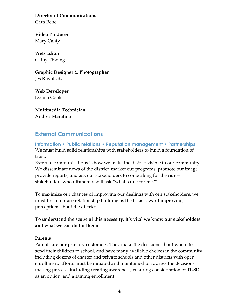**Director of Communications**  Cara Rene

**Video Producer**  Mary Canty

**Web Editor**  Cathy Thwing

**Graphic Designer & Photographer**  Jes Ruvalcaba

**Web Developer**  Donna Goble

**Multimedia Technician**  Andrea Marafino

# **External Communications**

**Information • Public relations • Reputation management • Partnerships**  We must build solid relationships with stakeholders to build a foundation of trust.

External communications is how we make the district visible to our community. We disseminate news of the district, market our programs, promote our image, provide reports, and ask our stakeholders to come along for the ride – stakeholders who ultimately will ask "what's in it for me?"

To maximize our chances of improving our dealings with our stakeholders, we must first embrace relationship building as the basis toward improving perceptions about the district.

## **To understand the scope of this necessity, it's vital we know our stakeholders and what we can do for them:**

#### **Parents**

Parents are our primary customers. They make the decisions about where to send their children to school, and have many available choices in the community including dozens of charter and private schools and other districts with open enrollment. Efforts must be initiated and maintained to address the decisionmaking process, including creating awareness, ensuring consideration of TUSD as an option, and attaining enrollment.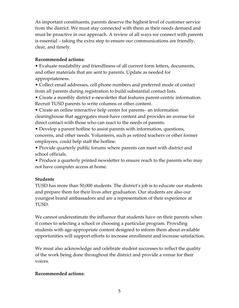As important constituents, parents deserve the highest level of customer service from the district. We must stay connected with them as their needs demand and must be proactive in our approach. A review of all ways we connect with parents is essential – taking the extra step to ensure our communications are friendly, clear, and timely.

#### **Recommended actions:**

• Evaluate readability and friendliness of all current form letters, documents, and other materials that are sent to parents. Update as needed for appropriateness.

• Collect email addresses, cell phone numbers and preferred mode of contact from all parents during registration to build substantial contact lists.

• Create a monthly district e-newsletter that features parent-centric information. Recruit TUSD parents to write columns or other content.

• Create an online interactive help center for parents– an information clearinghouse that aggregates must-have content and provides an avenue for direct contact with those who can react to the needs of parents.

• Develop a parent hotline to assist parents with information, questions, concerns, and other needs. Volunteers, such as retired teachers or other former employees, could help staff the hotline.

• Provide quarterly public forums where parents can meet with district and school officials.

• Produce a quarterly printed newsletter to ensure reach to the parents who may not have computer access at home.

## **Students**

TUSD has more than 50,000 students. The district's job is to educate our students and prepare them for their lives after graduation. Our students are also our youngest brand ambassadors and are a representation of their experience at TUSD.

We cannot underestimate the influence that students have on their parents when it comes to selecting a school or choosing a particular program. Providing students with age-appropriate content designed to inform them about available opportunities will support efforts to increase enrollment and increase satisfaction.

We must also acknowledge and celebrate student successes to reflect the quality of the work being done throughout the district and provide a venue for their voices.

## **Recommended actions:**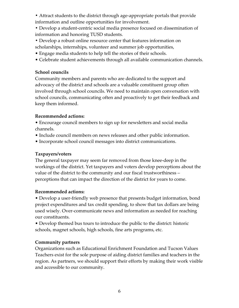**•** Attract students to the district through age-appropriate portals that provide information and outline opportunities for involvement.

**•** Develop a student-centric social media presence focused on dissemination of information and honoring TUSD students.

- **•** Develop a robust online resource center that features information on scholarships, internships, volunteer and summer job opportunities,
- Engage media students to help tell the stories of their schools.
- Celebrate student achievements through all available communication channels.

#### **School councils**

Community members and parents who are dedicated to the support and advocacy of the district and schools are a valuable constituent group often involved through school councils. We need to maintain open conversation with school councils, communicating often and proactively to get their feedback and keep them informed.

#### **Recommended actions:**

• Encourage council members to sign up for newsletters and social media channels.

- Include council members on news releases and other public information.
- Incorporate school council messages into district communications.

#### **Taxpayers/voters**

The general taxpayer may seem far removed from those knee-deep in the workings of the district. Yet taxpayers and voters develop perceptions about the value of the district to the community and our fiscal trustworthiness – perceptions that can impact the direction of the district for years to come.

#### **Recommended actions:**

• Develop a user-friendly web presence that presents budget information, bond project expenditures and tax credit spending, to show that tax dollars are being used wisely. Over-communicate news and information as needed for reaching our constituents.

• Develop themed bus tours to introduce the public to the district: historic schools, magnet schools, high schools, fine arts programs, etc.

#### **Community partners**

Organizations such as Educational Enrichment Foundation and Tucson Values Teachers exist for the sole purpose of aiding district families and teachers in the region. As partners, we should support their efforts by making their work visible and accessible to our community.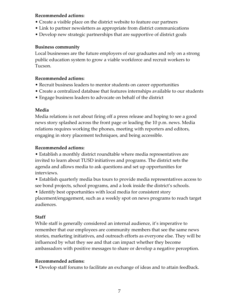#### **Recommended actions:**

- Create a visible place on the district website to feature our partners
- Link to partner newsletters as appropriate from district communications
- Develop new strategic partnerships that are supportive of district goals

#### **Business community**

Local businesses are the future employers of our graduates and rely on a strong public education system to grow a viable workforce and recruit workers to Tucson.

## **Recommended actions:**

- Recruit business leaders to mentor students on career opportunities
- Create a centralized database that features internships available to our students
- Engage business leaders to advocate on behalf of the district

## **Media**

Media relations is not about firing off a press release and hoping to see a good news story splashed across the front page or leading the 10 p.m. news. Media relations requires working the phones, meeting with reporters and editors, engaging in story placement techniques, and being accessible.

## **Recommended actions:**

• Establish a monthly district roundtable where media representatives are invited to learn about TUSD initiatives and programs. The district sets the agenda and allows media to ask questions and set up opportunities for interviews.

• Establish quarterly media bus tours to provide media representatives access to see bond projects, school programs, and a look inside the district's schools.

• Identify best opportunities with local media for consistent story placement/engagement, such as a weekly spot on news programs to reach target audiences.

## **Staff**

While staff is generally considered an internal audience, it's imperative to remember that our employees are community members that see the same news stories, marketing initiatives, and outreach efforts as everyone else. They will be influenced by what they see and that can impact whether they become ambassadors with positive messages to share or develop a negative perception.

## **Recommended actions:**

• Develop staff forums to facilitate an exchange of ideas and to attain feedback.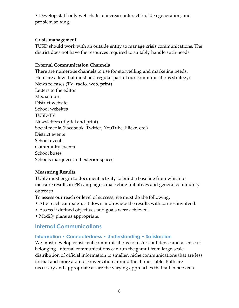• Develop staff-only web chats to increase interaction, idea generation, and problem solving.

#### **Crisis management**

TUSD should work with an outside entity to manage crisis communications. The district does not have the resources required to suitably handle such needs.

## **External Communication Channels**

There are numerous channels to use for storytelling and marketing needs. Here are a few that must be a regular part of our communications strategy: News releases (TV, radio, web, print) Letters to the editor Media tours District website School websites TUSD-TV Newsletters (digital and print) Social media (Facebook, Twitter, YouTube, Flickr, etc.) District events School events Community events School buses Schools marquees and exterior spaces

## **Measuring Results**

TUSD must begin to document activity to build a baseline from which to measure results in PR campaigns, marketing initiatives and general community outreach.

To assess our reach or level of success, we must do the following:

- After each campaign, sit down and review the results with parties involved.
- Assess if defined objectives and goals were achieved.
- Modify plans as appropriate.

# **Internal Communications**

## **Information • Connectedness • Understanding • Satisfaction**

We must develop consistent communications to foster confidence and a sense of belonging. Internal communications can run the gamut from large-scale distribution of official information to smaller, niche communications that are less formal and more akin to conversation around the dinner table. Both are necessary and appropriate as are the varying approaches that fall in between.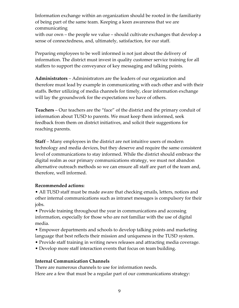Information exchange within an organization should be rooted in the familiarity of being part of the same team. Keeping a keen awareness that we are communicating

with our own – the people we value – should cultivate exchanges that develop a sense of connectedness, and, ultimately, satisfaction, for our staff.

Preparing employees to be well informed is not just about the delivery of information. The district must invest in quality customer service training for all staffers to support the conveyance of key messaging and talking points.

**Administrators** – Administrators are the leaders of our organization and therefore must lead by example in communicating with each other and with their staffs. Better utilizing of media channels for timely, clear information exchange will lay the groundwork for the expectations we have of others.

**Teachers** – Our teachers are the "face" of the district and the primary conduit of information about TUSD to parents. We must keep them informed, seek feedback from them on district initiatives, and solicit their suggestions for reaching parents.

**Staff** – Many employees in the district are not intuitive users of modern technology and media devices, but they deserve and require the same consistent level of communications to stay informed. While the district should embrace the digital realm as our primary communications strategy, we must not abandon alternative outreach methods so we can ensure all staff are part of the team and, therefore, well informed.

#### **Recommended actions:**

• All TUSD staff must be made aware that checking emails, letters, notices and other internal communications such as intranet messages is compulsory for their jobs.

• Provide training throughout the year in communications and accessing information, especially for those who are not familiar with the use of digital media.

• Empower departments and schools to develop talking points and marketing language that best reflects their mission and uniqueness in the TUSD system.

- Provide staff training in writing news releases and attracting media coverage.
- Develop more staff interaction events that focus on team building.

## **Internal Communication Channels**

There are numerous channels to use for information needs. Here are a few that must be a regular part of our communications strategy: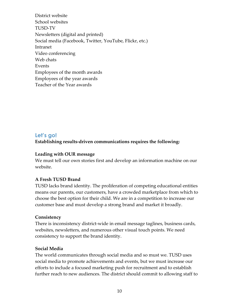District website School websites TUSD-TV Newsletters (digital and printed) Social media (Facebook, Twitter, YouTube, Flickr, etc.) Intranet Video conferencing Web chats Events Employees of the month awards Employees of the year awards Teacher of the Year awards

## **Let's go!**

#### **Establishing results-driven communications requires the following:**

#### **Leading with OUR message**

We must tell our own stories first and develop an information machine on our website.

#### **A Fresh TUSD Brand**

TUSD lacks brand identity. The proliferation of competing educational entities means our parents, our customers, have a crowded marketplace from which to choose the best option for their child. We are in a competition to increase our customer base and must develop a strong brand and market it broadly.

#### **Consistency**

There is inconsistency district-wide in email message taglines, business cards, websites, newsletters, and numerous other visual touch points. We need consistency to support the brand identity.

#### **Social Media**

The world communicates through social media and so must we. TUSD uses social media to promote achievements and events, but we must increase our efforts to include a focused marketing push for recruitment and to establish further reach to new audiences. The district should commit to allowing staff to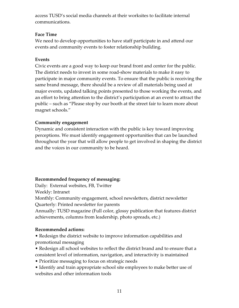access TUSD's social media channels at their worksites to facilitate internal communications.

## **Face Time**

We need to develop opportunities to have staff participate in and attend our events and community events to foster relationship building.

#### **Events**

Civic events are a good way to keep our brand front and center for the public. The district needs to invest in some road-show materials to make it easy to participate in major community events. To ensure that the public is receiving the same brand message, there should be a review of all materials being used at major events, updated talking points presented to those working the events, and an effort to bring attention to the district's participation at an event to attract the public – such as "Please stop by our booth at the street fair to learn more about magnet schools."

## **Community engagement**

Dynamic and consistent interaction with the public is key toward improving perceptions. We must identify engagement opportunities that can be launched throughout the year that will allow people to get involved in shaping the district and the voices in our community to be heard.

## **Recommended frequency of messaging:**

Daily: External websites, FB, Twitter

Weekly: Intranet

Monthly: Community engagement, school newsletters, district newsletter Quarterly: Printed newsletter for parents

Annually: TUSD magazine (Full color, glossy publication that features district achievements, columns from leadership, photo spreads, etc.)

## **Recommended actions:**

• Redesign the district website to improve information capabilities and promotional messaging

- Redesign all school websites to reflect the district brand and to ensure that a consistent level of information, navigation, and interactivity is maintained
- Prioritize messaging to focus on strategic needs
- Identify and train appropriate school site employees to make better use of websites and other information tools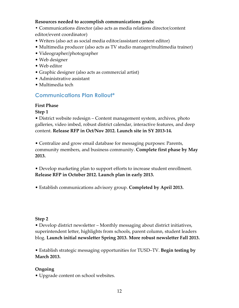#### **Resources needed to accomplish communications goals:**

**•** Communications director (also acts as media relations director/content editor/event coordinator)

- Writers (also act as social media editor/assistant content editor)
- Multimedia producer (also acts as TV studio manager/multimedia trainer)
- Videographer/photographer
- Web designer
- Web editor
- Graphic designer (also acts as commercial artist)
- Administrative assistant
- Multimedia tech

## **Communications Plan Rollout\***

#### **First Phase**

**Step 1** 

• District website redesign – Content management system, archives, photo galleries, video imbed, robust district calendar, interactive features, and deep content. **Release RFP in Oct/Nov 2012. Launch site in SY 2013-14.** 

• Centralize and grow email database for messaging purposes: Parents, community members, and business community. **Complete first phase by May 2013.** 

• Develop marketing plan to support efforts to increase student enrollment. **Release RFP in October 2012. Launch plan in early 2013.** 

• Establish communications advisory group. **Completed by April 2013.**

#### **Step 2**

• Develop district newsletter – Monthly messaging about district initiatives, superintendent letter, highlights from schools, parent column, student leaders blog. **Launch initial newsletter Spring 2013. More robust newsletter Fall 2013.** 

• Establish strategic messaging opportunities for TUSD–TV. **Begin testing by March 2013.** 

#### **Ongoing**

• Upgrade content on school websites.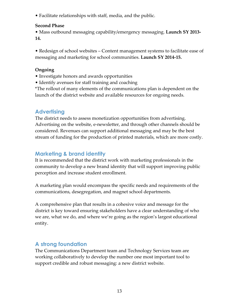• Facilitate relationships with staff, media, and the public.

## **Second Phase**

• Mass outbound messaging capability/emergency messaging. **Launch SY 2013- 14.** 

• Redesign of school websites – Content management systems to facilitate ease of messaging and marketing for school communities. **Launch SY 2014-15.**

## **Ongoing**

- Investigate honors and awards opportunities
- Identify avenues for staff training and coaching

\*The rollout of many elements of the communications plan is dependent on the launch of the district website and available resources for ongoing needs.

# **Advertising**

The district needs to assess monetization opportunities from advertising. Advertising on the website, e-newsletter, and through other channels should be considered. Revenues can support additional messaging and may be the best stream of funding for the production of printed materials, which are more costly.

## **Marketing & brand identity**

It is recommended that the district work with marketing professionals in the community to develop a new brand identity that will support improving public perception and increase student enrollment.

A marketing plan would encompass the specific needs and requirements of the communications, desegregation, and magnet school departments.

A comprehensive plan that results in a cohesive voice and message for the district is key toward ensuring stakeholders have a clear understanding of who we are, what we do, and where we're going as the region's largest educational entity.

# **A strong foundation**

The Communications Department team and Technology Services team are working collaboratively to develop the number one most important tool to support credible and robust messaging: a new district website.